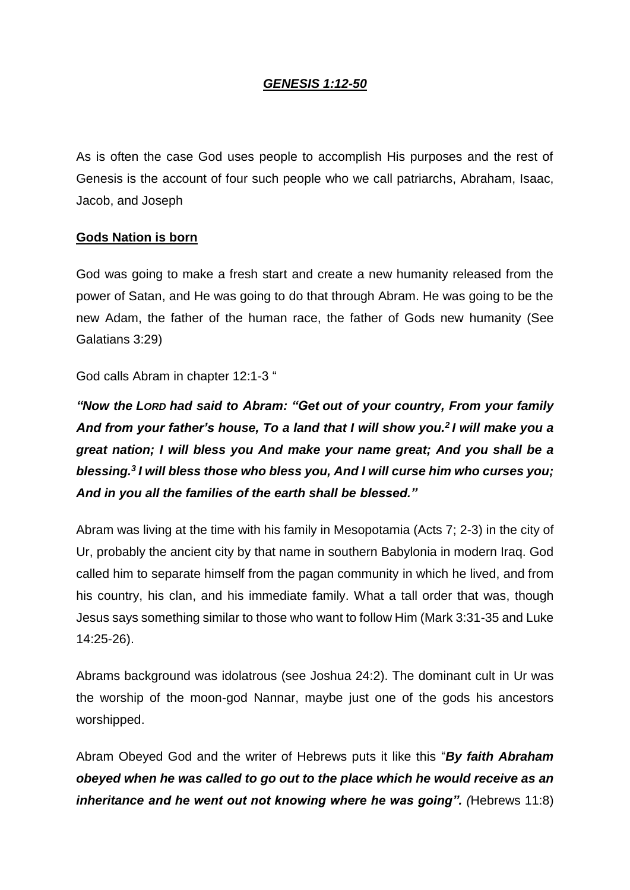# *GENESIS 1:12-50*

As is often the case God uses people to accomplish His purposes and the rest of Genesis is the account of four such people who we call patriarchs, Abraham, Isaac, Jacob, and Joseph

### **Gods Nation is born**

God was going to make a fresh start and create a new humanity released from the power of Satan, and He was going to do that through Abram. He was going to be the new Adam, the father of the human race, the father of Gods new humanity (See Galatians 3:29)

God calls Abram in chapter 12:1-3 "

*"Now the LORD had said to Abram: "Get out of your country, From your family And from your father's house, To a land that I will show you.<sup>2</sup> I will make you a great nation; I will bless you And make your name great; And you shall be a blessing.<sup>3</sup> I will bless those who bless you, And I will curse him who curses you; And in you all the families of the earth shall be blessed."*

Abram was living at the time with his family in Mesopotamia (Acts 7; 2-3) in the city of Ur, probably the ancient city by that name in southern Babylonia in modern Iraq. God called him to separate himself from the pagan community in which he lived, and from his country, his clan, and his immediate family. What a tall order that was, though Jesus says something similar to those who want to follow Him (Mark 3:31-35 and Luke 14:25-26).

Abrams background was idolatrous (see Joshua 24:2). The dominant cult in Ur was the worship of the moon-god Nannar, maybe just one of the gods his ancestors worshipped.

Abram Obeyed God and the writer of Hebrews puts it like this "*By faith Abraham obeyed when he was called to go out to the place which he would receive as an inheritance and he went out not knowing where he was going". (Hebrews 11:8)*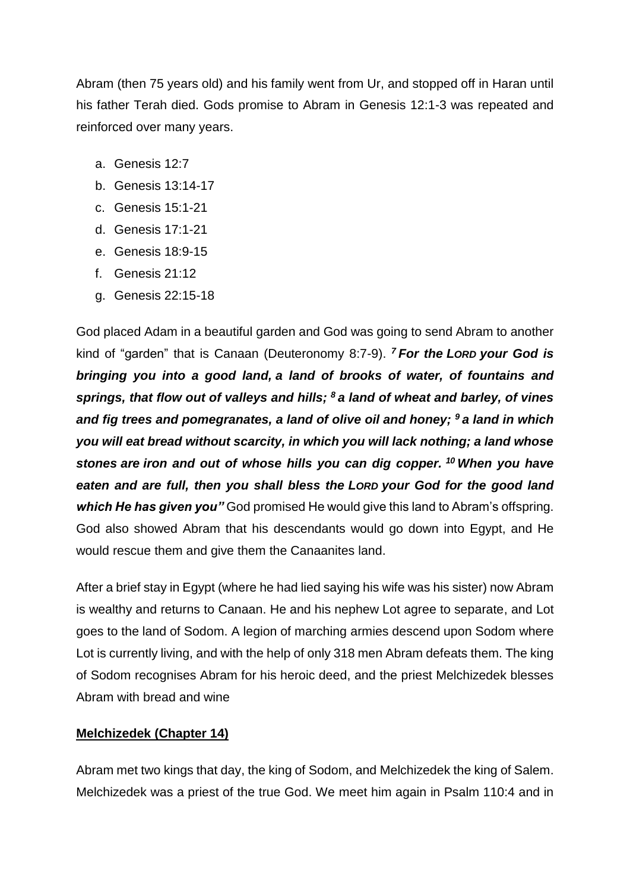Abram (then 75 years old) and his family went from Ur, and stopped off in Haran until his father Terah died. Gods promise to Abram in Genesis 12:1-3 was repeated and reinforced over many years.

- a. Genesis 12:7
- b. Genesis 13:14-17
- c. Genesis 15:1-21
- d. Genesis 17:1-21
- e. Genesis 18:9-15
- f. Genesis 21:12
- g. Genesis 22:15-18

God placed Adam in a beautiful garden and God was going to send Abram to another kind of "garden" that is Canaan (Deuteronomy 8:7-9). *<sup>7</sup> For the LORD your God is bringing you into a good land, a land of brooks of water, of fountains and springs, that flow out of valleys and hills; <sup>8</sup> a land of wheat and barley, of vines and fig trees and pomegranates, a land of olive oil and honey; <sup>9</sup> a land in which you will eat bread without scarcity, in which you will lack nothing; a land whose stones are iron and out of whose hills you can dig copper. <sup>10</sup> When you have eaten and are full, then you shall bless the LORD your God for the good land which He has given you"* God promised He would give this land to Abram's offspring. God also showed Abram that his descendants would go down into Egypt, and He would rescue them and give them the Canaanites land.

After a brief stay in Egypt (where he had lied saying his wife was his sister) now Abram is wealthy and returns to Canaan. He and his nephew Lot agree to separate, and Lot goes to the land of Sodom. A legion of marching armies descend upon Sodom where Lot is currently living, and with the help of only 318 men Abram defeats them. The king of Sodom recognises Abram for his heroic deed, and the priest Melchizedek blesses Abram with bread and wine

### **Melchizedek (Chapter 14)**

Abram met two kings that day, the king of Sodom, and Melchizedek the king of Salem. Melchizedek was a priest of the true God. We meet him again in Psalm 110:4 and in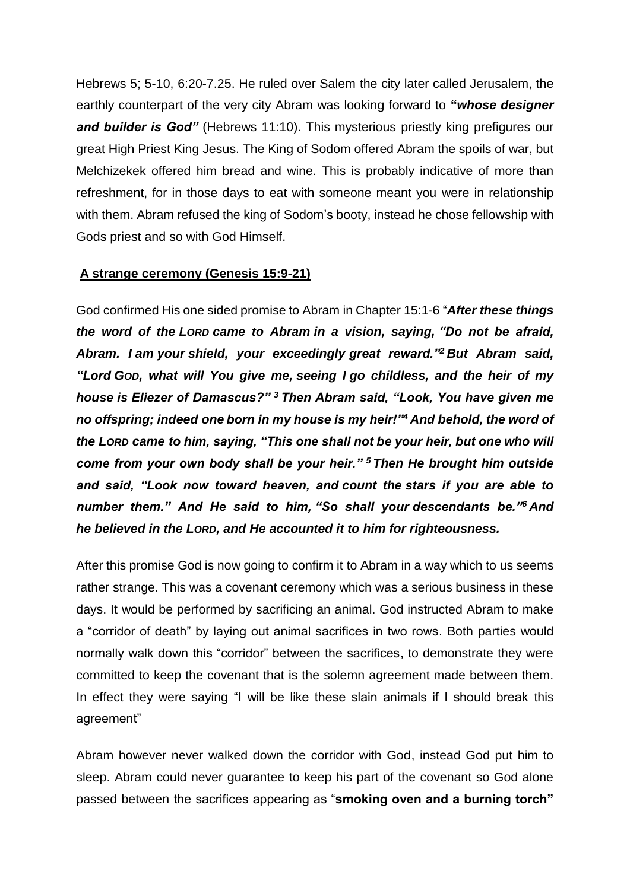Hebrews 5; 5-10, 6:20-7.25. He ruled over Salem the city later called Jerusalem, the earthly counterpart of the very city Abram was looking forward to **"***whose designer and builder is God"* (Hebrews 11:10). This mysterious priestly king prefigures our great High Priest King Jesus. The King of Sodom offered Abram the spoils of war, but Melchizekek offered him bread and wine. This is probably indicative of more than refreshment, for in those days to eat with someone meant you were in relationship with them. Abram refused the king of Sodom's booty, instead he chose fellowship with Gods priest and so with God Himself.

### **A strange ceremony (Genesis 15:9-21)**

God confirmed His one sided promise to Abram in Chapter 15:1-6 "*After these things the word of the LORD came to Abram in a vision, saying, "Do not be afraid, Abram. I am your shield, your exceedingly great reward."<sup>2</sup> But Abram said, "Lord GOD, what will You give me, seeing I go childless, and the heir of my house is Eliezer of Damascus?" <sup>3</sup> Then Abram said, "Look, You have given me no offspring; indeed one born in my house is my heir!"<sup>4</sup> And behold, the word of the LORD came to him, saying, "This one shall not be your heir, but one who will come from your own body shall be your heir." <sup>5</sup> Then He brought him outside and said, "Look now toward heaven, and count the stars if you are able to number them." And He said to him, "So shall your descendants be."<sup>6</sup> And he believed in the LORD, and He accounted it to him for righteousness.*

After this promise God is now going to confirm it to Abram in a way which to us seems rather strange. This was a covenant ceremony which was a serious business in these days. It would be performed by sacrificing an animal. God instructed Abram to make a "corridor of death" by laying out animal sacrifices in two rows. Both parties would normally walk down this "corridor" between the sacrifices, to demonstrate they were committed to keep the covenant that is the solemn agreement made between them. In effect they were saying "I will be like these slain animals if I should break this agreement"

Abram however never walked down the corridor with God, instead God put him to sleep. Abram could never guarantee to keep his part of the covenant so God alone passed between the sacrifices appearing as "**smoking oven and a burning torch"**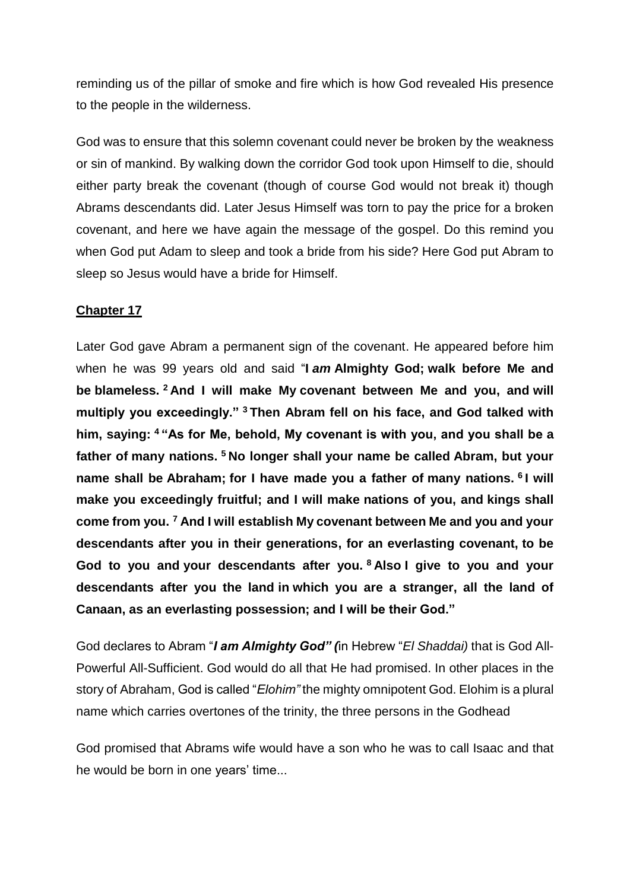reminding us of the pillar of smoke and fire which is how God revealed His presence to the people in the wilderness.

God was to ensure that this solemn covenant could never be broken by the weakness or sin of mankind. By walking down the corridor God took upon Himself to die, should either party break the covenant (though of course God would not break it) though Abrams descendants did. Later Jesus Himself was torn to pay the price for a broken covenant, and here we have again the message of the gospel. Do this remind you when God put Adam to sleep and took a bride from his side? Here God put Abram to sleep so Jesus would have a bride for Himself.

### **Chapter 17**

Later God gave Abram a permanent sign of the covenant. He appeared before him when he was 99 years old and said "**I** *am* **Almighty God; walk before Me and be blameless. <sup>2</sup> And I will make My covenant between Me and you, and will multiply you exceedingly." <sup>3</sup> Then Abram fell on his face, and God talked with him, saying: <sup>4</sup> "As for Me, behold, My covenant is with you, and you shall be a father of many nations. <sup>5</sup> No longer shall your name be called Abram, but your name shall be Abraham; for I have made you a father of many nations. <sup>6</sup> I will make you exceedingly fruitful; and I will make nations of you, and kings shall come from you. <sup>7</sup> And I will establish My covenant between Me and you and your descendants after you in their generations, for an everlasting covenant, to be God to you and your descendants after you. <sup>8</sup> Also I give to you and your descendants after you the land in which you are a stranger, all the land of Canaan, as an everlasting possession; and I will be their God."**

God declares to Abram "*I am Almighty God" (*in Hebrew "*El Shaddai)* that is God All-Powerful All-Sufficient. God would do all that He had promised. In other places in the story of Abraham, God is called "*Elohim"* the mighty omnipotent God. Elohim is a plural name which carries overtones of the trinity, the three persons in the Godhead

God promised that Abrams wife would have a son who he was to call Isaac and that he would be born in one years' time...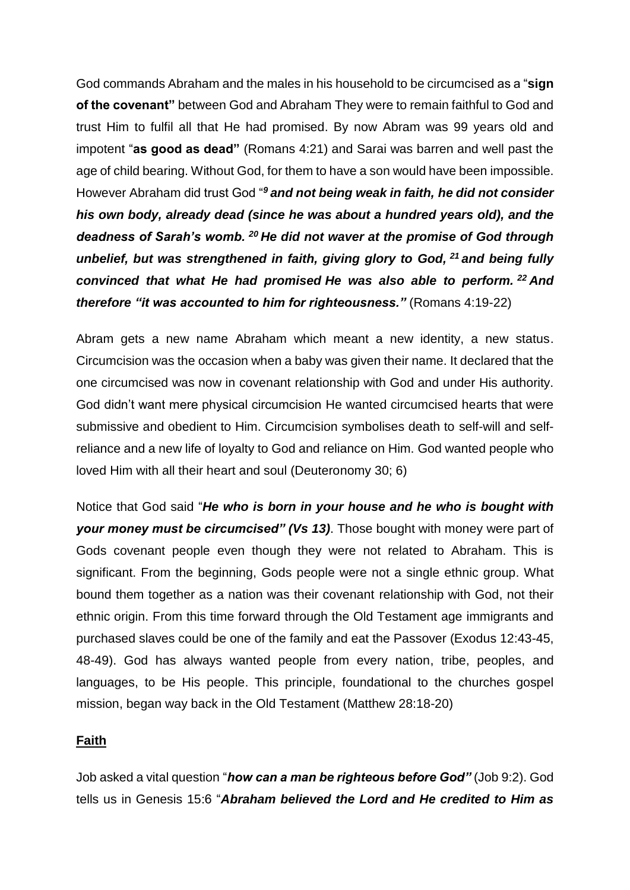God commands Abraham and the males in his household to be circumcised as a "**sign of the covenant"** between God and Abraham They were to remain faithful to God and trust Him to fulfil all that He had promised. By now Abram was 99 years old and impotent "**as good as dead"** (Romans 4:21) and Sarai was barren and well past the age of child bearing. Without God, for them to have a son would have been impossible. However Abraham did trust God "*<sup>9</sup> and not being weak in faith, he did not consider his own body, already dead (since he was about a hundred years old), and the deadness of Sarah's womb. <sup>20</sup> He did not waver at the promise of God through unbelief, but was strengthened in faith, giving glory to God, <sup>21</sup> and being fully convinced that what He had promised He was also able to perform. <sup>22</sup> And therefore "it was accounted to him for righteousness."* (Romans 4:19-22)

Abram gets a new name Abraham which meant a new identity, a new status. Circumcision was the occasion when a baby was given their name. It declared that the one circumcised was now in covenant relationship with God and under His authority. God didn't want mere physical circumcision He wanted circumcised hearts that were submissive and obedient to Him. Circumcision symbolises death to self-will and selfreliance and a new life of loyalty to God and reliance on Him. God wanted people who loved Him with all their heart and soul (Deuteronomy 30; 6)

Notice that God said "*He who is born in your house and he who is bought with your money must be circumcised" (Vs 13)*. Those bought with money were part of Gods covenant people even though they were not related to Abraham. This is significant. From the beginning, Gods people were not a single ethnic group. What bound them together as a nation was their covenant relationship with God, not their ethnic origin. From this time forward through the Old Testament age immigrants and purchased slaves could be one of the family and eat the Passover (Exodus 12:43-45, 48-49). God has always wanted people from every nation, tribe, peoples, and languages, to be His people. This principle, foundational to the churches gospel mission, began way back in the Old Testament (Matthew 28:18-20)

### **Faith**

Job asked a vital question "*how can a man be righteous before God"* (Job 9:2). God tells us in Genesis 15:6 "*Abraham believed the Lord and He credited to Him as*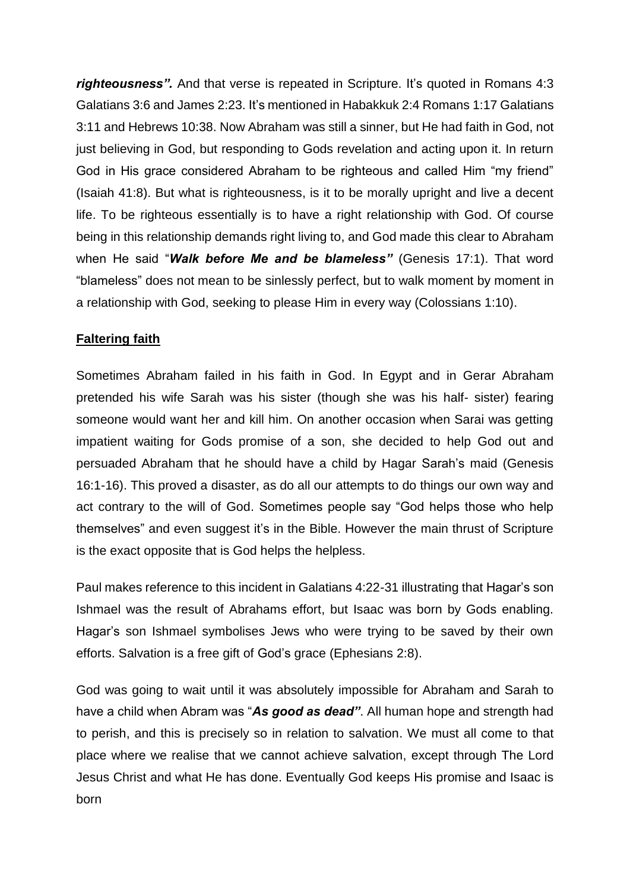*righteousness"*. And that verse is repeated in Scripture. It's quoted in Romans 4:3 Galatians 3:6 and James 2:23. It's mentioned in Habakkuk 2:4 Romans 1:17 Galatians 3:11 and Hebrews 10:38. Now Abraham was still a sinner, but He had faith in God, not just believing in God, but responding to Gods revelation and acting upon it. In return God in His grace considered Abraham to be righteous and called Him "my friend" (Isaiah 41:8). But what is righteousness, is it to be morally upright and live a decent life. To be righteous essentially is to have a right relationship with God. Of course being in this relationship demands right living to, and God made this clear to Abraham when He said "*Walk before Me and be blameless"* (Genesis 17:1). That word "blameless" does not mean to be sinlessly perfect, but to walk moment by moment in a relationship with God, seeking to please Him in every way (Colossians 1:10).

# **Faltering faith**

Sometimes Abraham failed in his faith in God. In Egypt and in Gerar Abraham pretended his wife Sarah was his sister (though she was his half- sister) fearing someone would want her and kill him. On another occasion when Sarai was getting impatient waiting for Gods promise of a son, she decided to help God out and persuaded Abraham that he should have a child by Hagar Sarah's maid (Genesis 16:1-16). This proved a disaster, as do all our attempts to do things our own way and act contrary to the will of God. Sometimes people say "God helps those who help themselves" and even suggest it's in the Bible. However the main thrust of Scripture is the exact opposite that is God helps the helpless.

Paul makes reference to this incident in Galatians 4:22-31 illustrating that Hagar's son Ishmael was the result of Abrahams effort, but Isaac was born by Gods enabling. Hagar's son Ishmael symbolises Jews who were trying to be saved by their own efforts. Salvation is a free gift of God's grace (Ephesians 2:8).

God was going to wait until it was absolutely impossible for Abraham and Sarah to have a child when Abram was "*As good as dead"*. All human hope and strength had to perish, and this is precisely so in relation to salvation. We must all come to that place where we realise that we cannot achieve salvation, except through The Lord Jesus Christ and what He has done. Eventually God keeps His promise and Isaac is born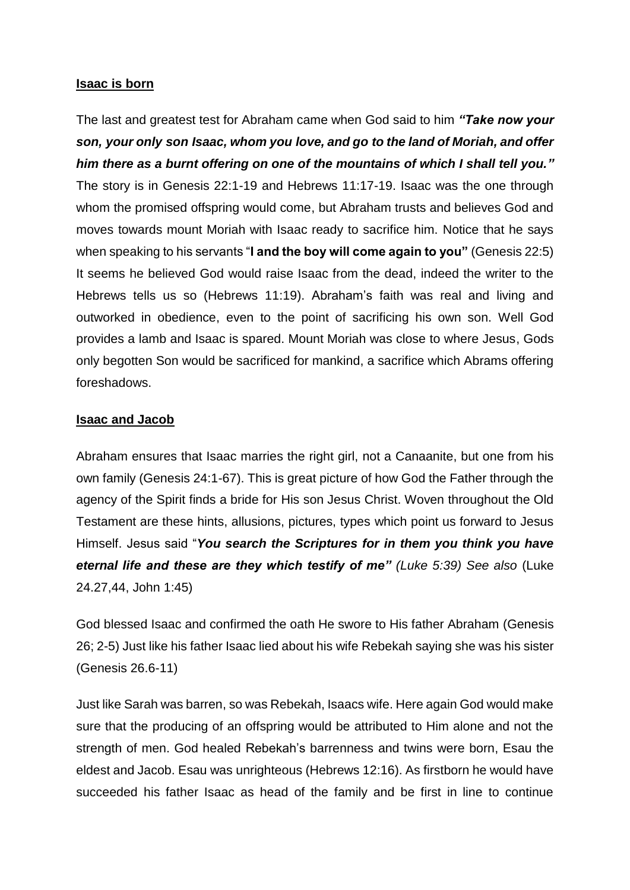#### **Isaac is born**

The last and greatest test for Abraham came when God said to him *"Take now your son, your only son Isaac, whom you love, and go to the land of Moriah, and offer him there as a burnt offering on one of the mountains of which I shall tell you."* The story is in Genesis 22:1-19 and Hebrews 11:17-19. Isaac was the one through whom the promised offspring would come, but Abraham trusts and believes God and moves towards mount Moriah with Isaac ready to sacrifice him. Notice that he says when speaking to his servants "**I and the boy will come again to you"** (Genesis 22:5) It seems he believed God would raise Isaac from the dead, indeed the writer to the Hebrews tells us so (Hebrews 11:19). Abraham's faith was real and living and outworked in obedience, even to the point of sacrificing his own son. Well God provides a lamb and Isaac is spared. Mount Moriah was close to where Jesus, Gods only begotten Son would be sacrificed for mankind, a sacrifice which Abrams offering foreshadows.

### **Isaac and Jacob**

Abraham ensures that Isaac marries the right girl, not a Canaanite, but one from his own family (Genesis 24:1-67). This is great picture of how God the Father through the agency of the Spirit finds a bride for His son Jesus Christ. Woven throughout the Old Testament are these hints, allusions, pictures, types which point us forward to Jesus Himself. Jesus said "*You search the Scriptures for in them you think you have eternal life and these are they which testify of me" (Luke 5:39) See also* (Luke 24.27,44, John 1:45)

God blessed Isaac and confirmed the oath He swore to His father Abraham (Genesis 26; 2-5) Just like his father Isaac lied about his wife Rebekah saying she was his sister (Genesis 26.6-11)

Just like Sarah was barren, so was Rebekah, Isaacs wife. Here again God would make sure that the producing of an offspring would be attributed to Him alone and not the strength of men. God healed Rebekah's barrenness and twins were born, Esau the eldest and Jacob. Esau was unrighteous (Hebrews 12:16). As firstborn he would have succeeded his father Isaac as head of the family and be first in line to continue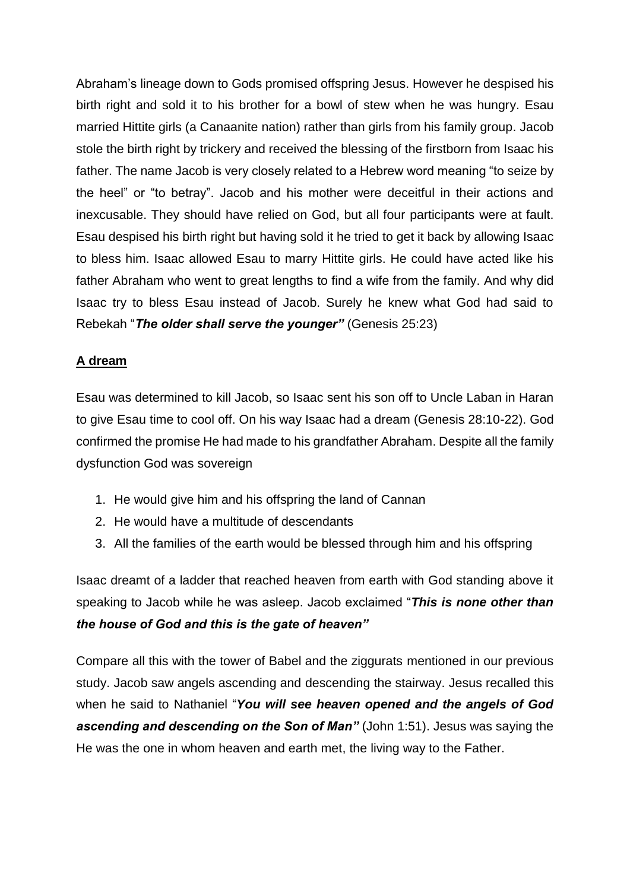Abraham's lineage down to Gods promised offspring Jesus. However he despised his birth right and sold it to his brother for a bowl of stew when he was hungry. Esau married Hittite girls (a Canaanite nation) rather than girls from his family group. Jacob stole the birth right by trickery and received the blessing of the firstborn from Isaac his father. The name Jacob is very closely related to a Hebrew word meaning "to seize by the heel" or "to betray". Jacob and his mother were deceitful in their actions and inexcusable. They should have relied on God, but all four participants were at fault. Esau despised his birth right but having sold it he tried to get it back by allowing Isaac to bless him. Isaac allowed Esau to marry Hittite girls. He could have acted like his father Abraham who went to great lengths to find a wife from the family. And why did Isaac try to bless Esau instead of Jacob. Surely he knew what God had said to Rebekah "*The older shall serve the younger"* (Genesis 25:23)

# **A dream**

Esau was determined to kill Jacob, so Isaac sent his son off to Uncle Laban in Haran to give Esau time to cool off. On his way Isaac had a dream (Genesis 28:10-22). God confirmed the promise He had made to his grandfather Abraham. Despite all the family dysfunction God was sovereign

- 1. He would give him and his offspring the land of Cannan
- 2. He would have a multitude of descendants
- 3. All the families of the earth would be blessed through him and his offspring

Isaac dreamt of a ladder that reached heaven from earth with God standing above it speaking to Jacob while he was asleep. Jacob exclaimed "*This is none other than the house of God and this is the gate of heaven"*

Compare all this with the tower of Babel and the ziggurats mentioned in our previous study. Jacob saw angels ascending and descending the stairway. Jesus recalled this when he said to Nathaniel "*You will see heaven opened and the angels of God ascending and descending on the Son of Man"* (John 1:51). Jesus was saying the He was the one in whom heaven and earth met, the living way to the Father.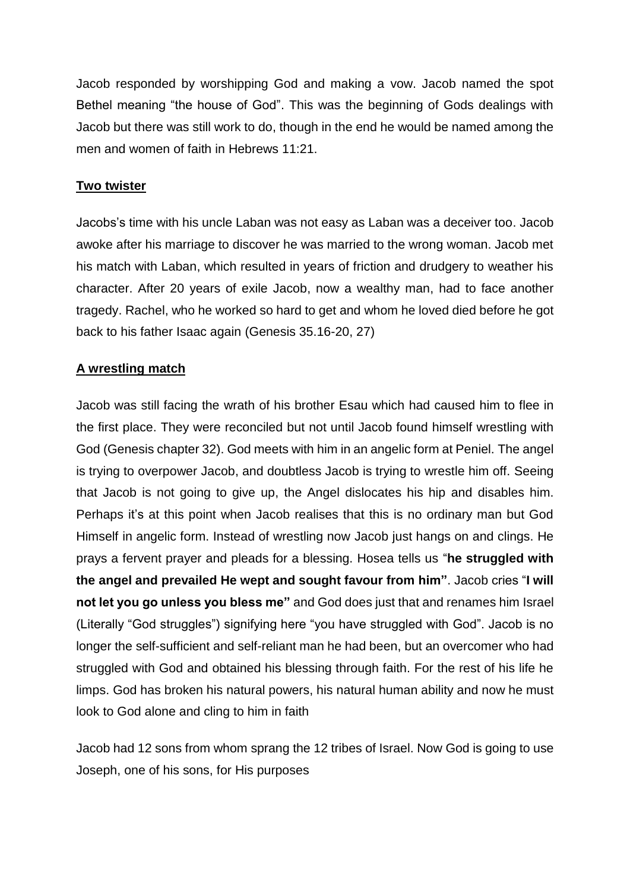Jacob responded by worshipping God and making a vow. Jacob named the spot Bethel meaning "the house of God". This was the beginning of Gods dealings with Jacob but there was still work to do, though in the end he would be named among the men and women of faith in Hebrews 11:21.

# **Two twister**

Jacobs's time with his uncle Laban was not easy as Laban was a deceiver too. Jacob awoke after his marriage to discover he was married to the wrong woman. Jacob met his match with Laban, which resulted in years of friction and drudgery to weather his character. After 20 years of exile Jacob, now a wealthy man, had to face another tragedy. Rachel, who he worked so hard to get and whom he loved died before he got back to his father Isaac again (Genesis 35.16-20, 27)

### **A wrestling match**

Jacob was still facing the wrath of his brother Esau which had caused him to flee in the first place. They were reconciled but not until Jacob found himself wrestling with God (Genesis chapter 32). God meets with him in an angelic form at Peniel. The angel is trying to overpower Jacob, and doubtless Jacob is trying to wrestle him off. Seeing that Jacob is not going to give up, the Angel dislocates his hip and disables him. Perhaps it's at this point when Jacob realises that this is no ordinary man but God Himself in angelic form. Instead of wrestling now Jacob just hangs on and clings. He prays a fervent prayer and pleads for a blessing. Hosea tells us "**he struggled with the angel and prevailed He wept and sought favour from him"**. Jacob cries "**I will not let you go unless you bless me"** and God does just that and renames him Israel (Literally "God struggles") signifying here "you have struggled with God". Jacob is no longer the self-sufficient and self-reliant man he had been, but an overcomer who had struggled with God and obtained his blessing through faith. For the rest of his life he limps. God has broken his natural powers, his natural human ability and now he must look to God alone and cling to him in faith

Jacob had 12 sons from whom sprang the 12 tribes of Israel. Now God is going to use Joseph, one of his sons, for His purposes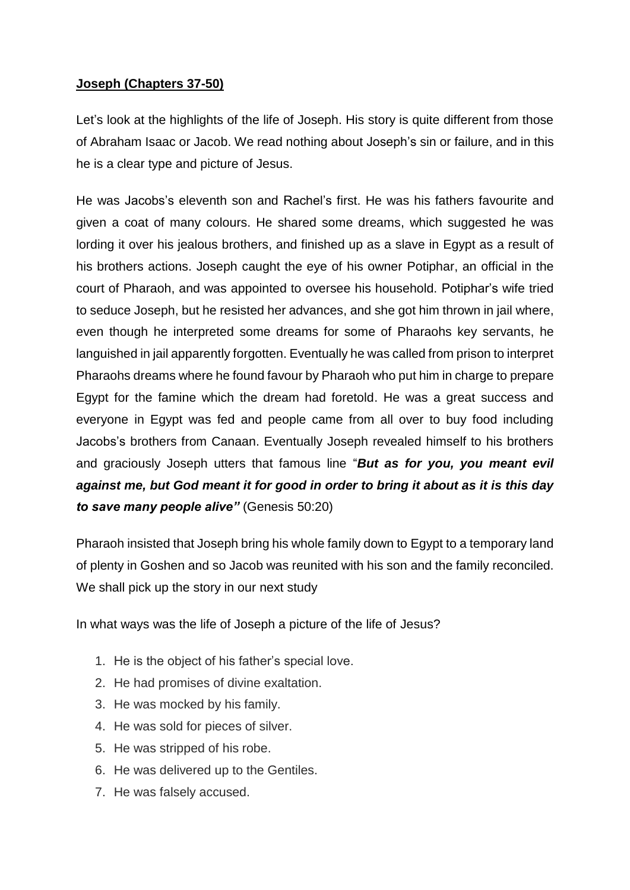### **Joseph (Chapters 37-50)**

Let's look at the highlights of the life of Joseph. His story is quite different from those of Abraham Isaac or Jacob. We read nothing about Joseph's sin or failure, and in this he is a clear type and picture of Jesus.

He was Jacobs's eleventh son and Rachel's first. He was his fathers favourite and given a coat of many colours. He shared some dreams, which suggested he was lording it over his jealous brothers, and finished up as a slave in Egypt as a result of his brothers actions. Joseph caught the eye of his owner Potiphar, an official in the court of Pharaoh, and was appointed to oversee his household. Potiphar's wife tried to seduce Joseph, but he resisted her advances, and she got him thrown in jail where, even though he interpreted some dreams for some of Pharaohs key servants, he languished in jail apparently forgotten. Eventually he was called from prison to interpret Pharaohs dreams where he found favour by Pharaoh who put him in charge to prepare Egypt for the famine which the dream had foretold. He was a great success and everyone in Egypt was fed and people came from all over to buy food including Jacobs's brothers from Canaan. Eventually Joseph revealed himself to his brothers and graciously Joseph utters that famous line "*But as for you, you meant evil against me, but God meant it for good in order to bring it about as it is this day to save many people alive"* (Genesis 50:20)

Pharaoh insisted that Joseph bring his whole family down to Egypt to a temporary land of plenty in Goshen and so Jacob was reunited with his son and the family reconciled. We shall pick up the story in our next study

In what ways was the life of Joseph a picture of the life of Jesus?

- 1. He is the object of his father's special love.
- 2. He had promises of divine exaltation.
- 3. He was mocked by his family.
- 4. He was sold for pieces of silver.
- 5. He was stripped of his robe.
- 6. He was delivered up to the Gentiles.
- 7. He was falsely accused.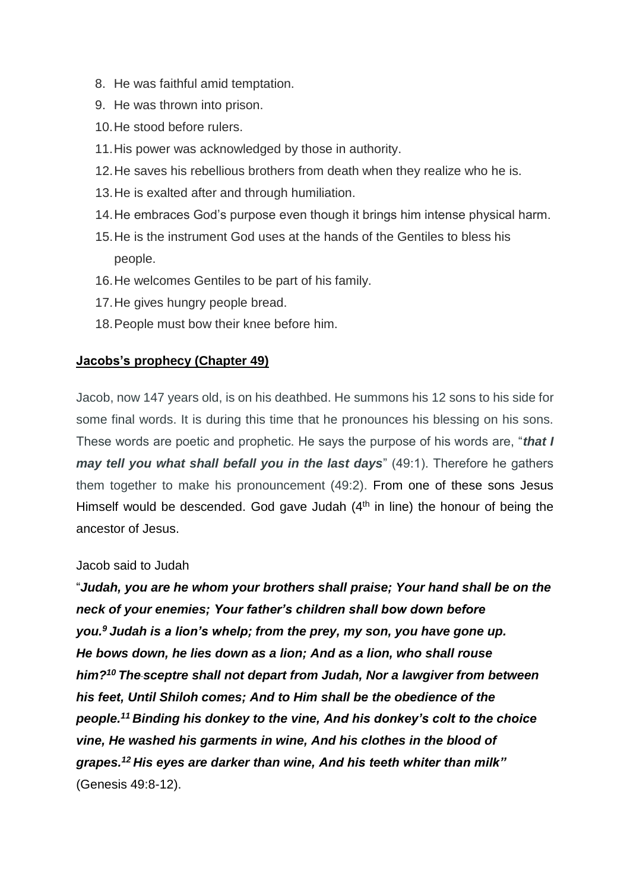- 8. He was faithful amid temptation.
- 9. He was thrown into prison.
- 10.He stood before rulers.
- 11.His power was acknowledged by those in authority.
- 12.He saves his rebellious brothers from death when they realize who he is.
- 13.He is exalted after and through humiliation.
- 14.He embraces God's purpose even though it brings him intense physical harm.
- 15.He is the instrument God uses at the hands of the Gentiles to bless his people.
- 16.He welcomes Gentiles to be part of his family.
- 17.He gives hungry people bread.
- 18.People must bow their knee before him.

### **Jacobs's prophecy (Chapter 49)**

Jacob, now 147 years old, is on his deathbed. He summons his 12 sons to his side for some final words. It is during this time that he pronounces his blessing on his sons. These words are poetic and prophetic. He says the purpose of his words are, "*that I may tell you what shall befall you in the last days*" (49:1). Therefore he gathers them together to make his pronouncement (49:2). From one of these sons Jesus Himself would be descended. God gave Judah  $(4<sup>th</sup>$  in line) the honour of being the ancestor of Jesus.

### Jacob said to Judah

"*Judah, you are he whom your brothers shall praise; Your hand shall be on the neck of your enemies; Your father's children shall bow down before you.<sup>9</sup> Judah is a lion's whelp; from the prey, my son, you have gone up. He bows down, he lies down as a lion; And as a lion, who shall rouse him?<sup>10</sup> The sceptre shall not depart from Judah, Nor a lawgiver from between his feet, Until Shiloh comes; And to Him shall be the obedience of the people.<sup>11</sup> Binding his donkey to the vine, And his donkey's colt to the choice vine, He washed his garments in wine, And his clothes in the blood of grapes.<sup>12</sup> His eyes are darker than wine, And his teeth whiter than milk"* (Genesis 49:8-12).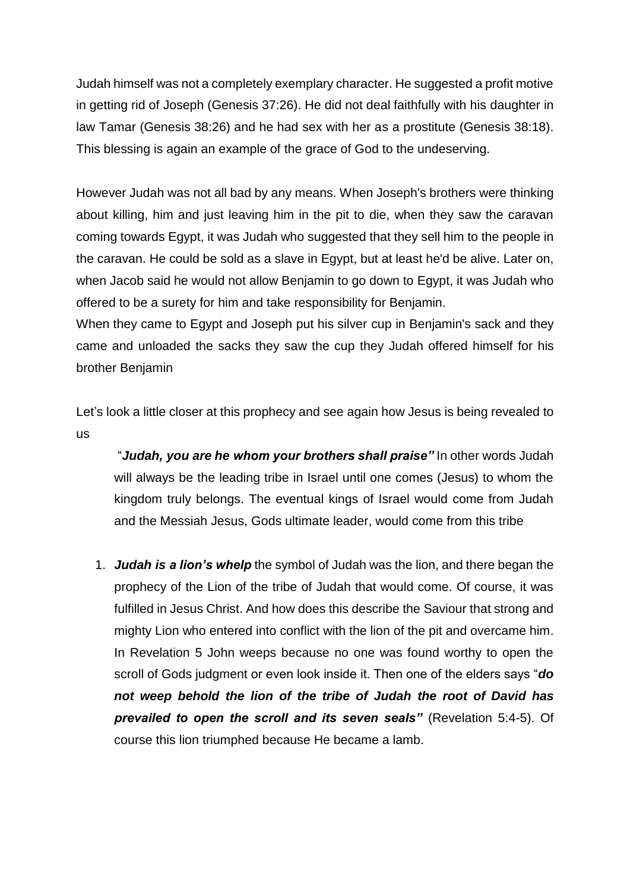Judah himself was not a completely exemplary character. He suggested a profit motive in getting rid of Joseph (Genesis 37:26). He did not deal faithfully with his daughter in law Tamar (Genesis 38:26) and he had sex with her as a prostitute (Genesis 38:18). This blessing is again an example of the grace of God to the undeserving.

However Judah was not all bad by any means. When Joseph's brothers were thinking about killing, him and just leaving him in the pit to die, when they saw the caravan coming towards Egypt, it was Judah who suggested that they sell him to the people in the caravan. He could be sold as a slave in Egypt, but at least he'd be alive. Later on, when Jacob said he would not allow Benjamin to go down to Egypt, it was Judah who offered to be a surety for him and take responsibility for Benjamin.

When they came to Egypt and Joseph put his silver cup in Benjamin's sack and they came and unloaded the sacks they saw the cup they Judah offered himself for his brother Benjamin

Let's look a little closer at this prophecy and see again how Jesus is being revealed to us

"*Judah, you are he whom your brothers shall praise"* In other words Judah will always be the leading tribe in Israel until one comes (Jesus) to whom the kingdom truly belongs. The eventual kings of Israel would come from Judah and the Messiah Jesus, Gods ultimate leader, would come from this tribe

1. *Judah is a lion's whelp* the symbol of Judah was the lion, and there began the prophecy of the Lion of the tribe of Judah that would come. Of course, it was fulfilled in Jesus Christ. And how does this describe the Saviour that strong and mighty Lion who entered into conflict with the lion of the pit and overcame him. In Revelation 5 John weeps because no one was found worthy to open the scroll of Gods judgment or even look inside it. Then one of the elders says "*do not weep behold the lion of the tribe of Judah the root of David has prevailed to open the scroll and its seven seals"* (Revelation 5:4-5). Of course this lion triumphed because He became a lamb.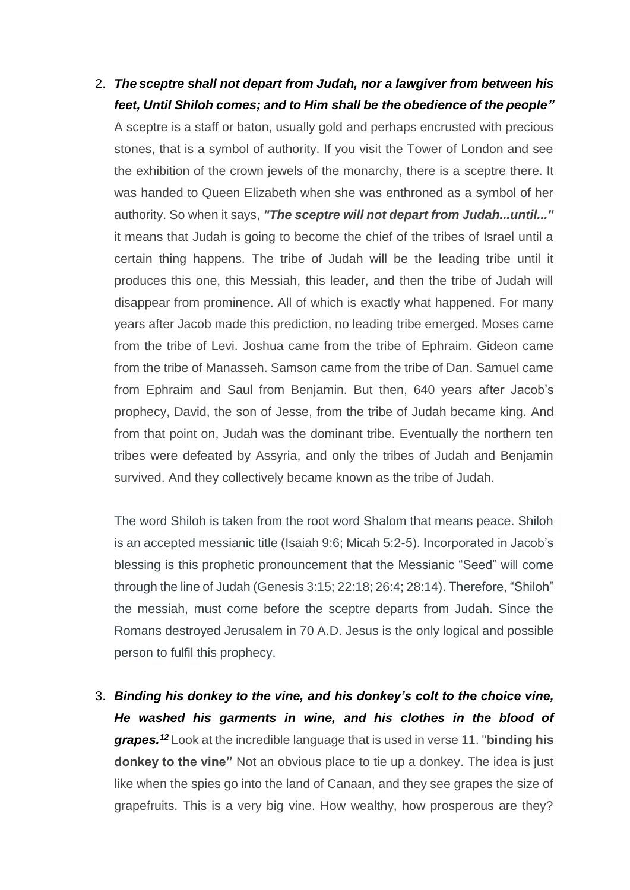# 2. *The sceptre shall not depart from Judah, nor a lawgiver from between his feet, Until Shiloh comes; and to Him shall be the obedience of the people"*

A sceptre is a staff or baton, usually gold and perhaps encrusted with precious stones, that is a symbol of authority. If you visit the Tower of London and see the exhibition of the crown jewels of the monarchy, there is a sceptre there. It was handed to Queen Elizabeth when she was enthroned as a symbol of her authority. So when it says, *"The sceptre will not depart from Judah...until..."* it means that Judah is going to become the chief of the tribes of Israel until a certain thing happens. The tribe of Judah will be the leading tribe until it produces this one, this Messiah, this leader, and then the tribe of Judah will disappear from prominence. All of which is exactly what happened. For many years after Jacob made this prediction, no leading tribe emerged. Moses came from the tribe of Levi. Joshua came from the tribe of Ephraim. Gideon came from the tribe of Manasseh. Samson came from the tribe of Dan. Samuel came from Ephraim and Saul from Benjamin. But then, 640 years after Jacob's prophecy, David, the son of Jesse, from the tribe of Judah became king. And from that point on, Judah was the dominant tribe. Eventually the northern ten tribes were defeated by Assyria, and only the tribes of Judah and Benjamin survived. And they collectively became known as the tribe of Judah.

The word Shiloh is taken from the root word Shalom that means peace. Shiloh is an accepted messianic title (Isaiah 9:6; Micah 5:2-5). Incorporated in Jacob's blessing is this prophetic pronouncement that the Messianic "Seed" will come through the line of Judah (Genesis 3:15; 22:18; 26:4; 28:14). Therefore, "Shiloh" the messiah, must come before the sceptre departs from Judah. Since the Romans destroyed Jerusalem in 70 A.D. Jesus is the only logical and possible person to fulfil this prophecy.

3. *Binding his donkey to the vine, and his donkey's colt to the choice vine, He washed his garments in wine, and his clothes in the blood of grapes.<sup>12</sup>* Look at the incredible language that is used in verse 11. "**binding his donkey to the vine"** Not an obvious place to tie up a donkey. The idea is just like when the spies go into the land of Canaan, and they see grapes the size of grapefruits. This is a very big vine. How wealthy, how prosperous are they?